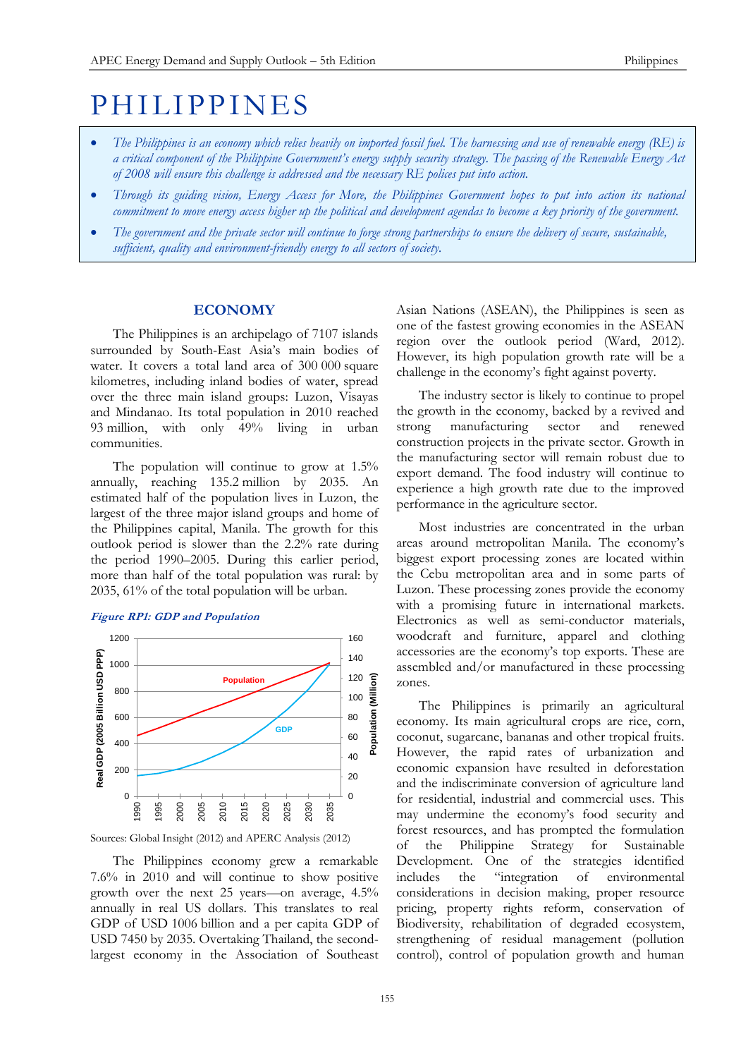# **PHILIPPINES**

- *The Philippines is an economy which relies heavily on imported fossil fuel. The harnessing and use of renewable energy (RE) is a critical component of the Philippine Government's energy supply security strategy. The passing of the Renewable Energy Act of 2008 will ensure this challenge is addressed and the necessary RE polices put into action.*
- *Through its guiding vision, Energy Access for More, the Philippines Government hopes to put into action its national commitment to move energy access higher up the political and development agendas to become a key priority of the government.*
- *The government and the private sector will continue to forge strong partnerships to ensure the delivery of secure, sustainable, sufficient, quality and environment-friendly energy to all sectors of society.*

## **ECONOMY**

The Philippines is an archipelago of 7107 islands surrounded by South-East Asia's main bodies of water. It covers a total land area of 300 000 square kilometres, including inland bodies of water, spread over the three main island groups: Luzon, Visayas and Mindanao. Its total population in 2010 reached 93 million, with only 49% living in urban communities.

The population will continue to grow at 1.5% annually, reaching 135.2 million by 2035. An estimated half of the population lives in Luzon, the largest of the three major island groups and home of the Philippines capital, Manila. The growth for this outlook period is slower than the 2.2% rate during the period 1990–2005. During this earlier period, more than half of the total population was rural: by 2035, 61% of the total population will be urban.

## **Figure RP1: GDP and Population**



Sources: Global Insight (2012) and APERC Analysis (2012)

The Philippines economy grew a remarkable 7.6% in 2010 and will continue to show positive growth over the next 25 years—on average, 4.5% annually in real US dollars. This translates to real GDP of USD 1006 billion and a per capita GDP of USD 7450 by 2035. Overtaking Thailand, the secondlargest economy in the Association of Southeast

Asian Nations (ASEAN), the Philippines is seen as one of the fastest growing economies in the ASEAN region over the outlook period (Ward, 2012). However, its high population growth rate will be a challenge in the economy's fight against poverty.

The industry sector is likely to continue to propel the growth in the economy, backed by a revived and strong manufacturing sector and renewed construction projects in the private sector. Growth in the manufacturing sector will remain robust due to export demand. The food industry will continue to experience a high growth rate due to the improved performance in the agriculture sector.

Most industries are concentrated in the urban areas around metropolitan Manila. The economy's biggest export processing zones are located within the Cebu metropolitan area and in some parts of Luzon. These processing zones provide the economy with a promising future in international markets. Electronics as well as semi-conductor materials, woodcraft and furniture, apparel and clothing accessories are the economy's top exports. These are assembled and/or manufactured in these processing zones.

The Philippines is primarily an agricultural economy. Its main agricultural crops are rice, corn, coconut, sugarcane, bananas and other tropical fruits. However, the rapid rates of urbanization and economic expansion have resulted in deforestation and the indiscriminate conversion of agriculture land for residential, industrial and commercial uses. This may undermine the economy's food security and forest resources, and has prompted the formulation of the Philippine Strategy for Sustainable Development. One of the strategies identified includes the "integration of environmental considerations in decision making, proper resource pricing, property rights reform, conservation of Biodiversity, rehabilitation of degraded ecosystem, strengthening of residual management (pollution control), control of population growth and human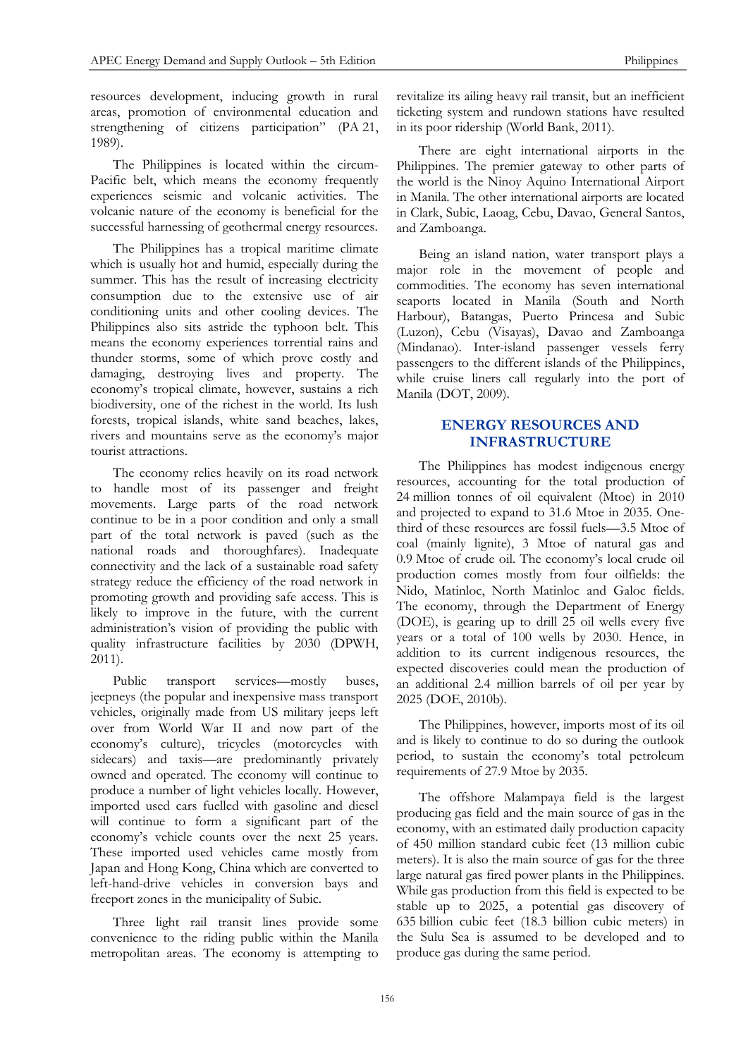resources development, inducing growth in rural areas, promotion of environmental education and strengthening of citizens participation" (PA 21, 1989).

The Philippines is located within the circum-Pacific belt, which means the economy frequently experiences seismic and volcanic activities. The volcanic nature of the economy is beneficial for the successful harnessing of geothermal energy resources.

The Philippines has a tropical maritime climate which is usually hot and humid, especially during the summer. This has the result of increasing electricity consumption due to the extensive use of air conditioning units and other cooling devices. The Philippines also sits astride the typhoon belt. This means the economy experiences torrential rains and thunder storms, some of which prove costly and damaging, destroying lives and property. The economy's tropical climate, however, sustains a rich biodiversity, one of the richest in the world. Its lush forests, tropical islands, white sand beaches, lakes, rivers and mountains serve as the economy's major tourist attractions.

The economy relies heavily on its road network to handle most of its passenger and freight movements. Large parts of the road network continue to be in a poor condition and only a small part of the total network is paved (such as the national roads and thoroughfares). Inadequate connectivity and the lack of a sustainable road safety strategy reduce the efficiency of the road network in promoting growth and providing safe access. This is likely to improve in the future, with the current administration's vision of providing the public with quality infrastructure facilities by 2030 (DPWH, 2011).

Public transport services—mostly buses, jeepneys (the popular and inexpensive mass transport vehicles, originally made from US military jeeps left over from World War II and now part of the economy's culture), tricycles (motorcycles with sidecars) and taxis—are predominantly privately owned and operated. The economy will continue to produce a number of light vehicles locally. However, imported used cars fuelled with gasoline and diesel will continue to form a significant part of the economy's vehicle counts over the next 25 years. These imported used vehicles came mostly from Japan and Hong Kong, China which are converted to left-hand-drive vehicles in conversion bays and freeport zones in the municipality of Subic.

Three light rail transit lines provide some convenience to the riding public within the Manila metropolitan areas. The economy is attempting to revitalize its ailing heavy rail transit, but an inefficient ticketing system and rundown stations have resulted in its poor ridership (World Bank, 2011).

There are eight international airports in the Philippines. The premier gateway to other parts of the world is the Ninoy Aquino International Airport in Manila. The other international airports are located in Clark, Subic, Laoag, Cebu, Davao, General Santos, and Zamboanga.

Being an island nation, water transport plays a major role in the movement of people and commodities. The economy has seven international seaports located in Manila (South and North Harbour), Batangas, Puerto Princesa and Subic (Luzon), Cebu (Visayas), Davao and Zamboanga (Mindanao). Inter-island passenger vessels ferry passengers to the different islands of the Philippines, while cruise liners call regularly into the port of Manila (DOT, 2009).

# **ENERGY RESOURCES AND INFRASTRUCTURE**

The Philippines has modest indigenous energy resources, accounting for the total production of 24 million tonnes of oil equivalent (Mtoe) in 2010 and projected to expand to 31.6 Mtoe in 2035. Onethird of these resources are fossil fuels—3.5 Mtoe of coal (mainly lignite), 3 Mtoe of natural gas and 0.9 Mtoe of crude oil. The economy's local crude oil production comes mostly from four oilfields: the Nido, Matinloc, North Matinloc and Galoc fields. The economy, through the Department of Energy (DOE), is gearing up to drill 25 oil wells every five years or a total of 100 wells by 2030. Hence, in addition to its current indigenous resources, the expected discoveries could mean the production of an additional 2.4 million barrels of oil per year by 2025 (DOE, 2010b).

The Philippines, however, imports most of its oil and is likely to continue to do so during the outlook period, to sustain the economy's total petroleum requirements of 27.9 Mtoe by 2035.

The offshore Malampaya field is the largest producing gas field and the main source of gas in the economy, with an estimated daily production capacity of 450 million standard cubic feet (13 million cubic meters). It is also the main source of gas for the three large natural gas fired power plants in the Philippines. While gas production from this field is expected to be stable up to 2025, a potential gas discovery of 635 billion cubic feet (18.3 billion cubic meters) in the Sulu Sea is assumed to be developed and to produce gas during the same period.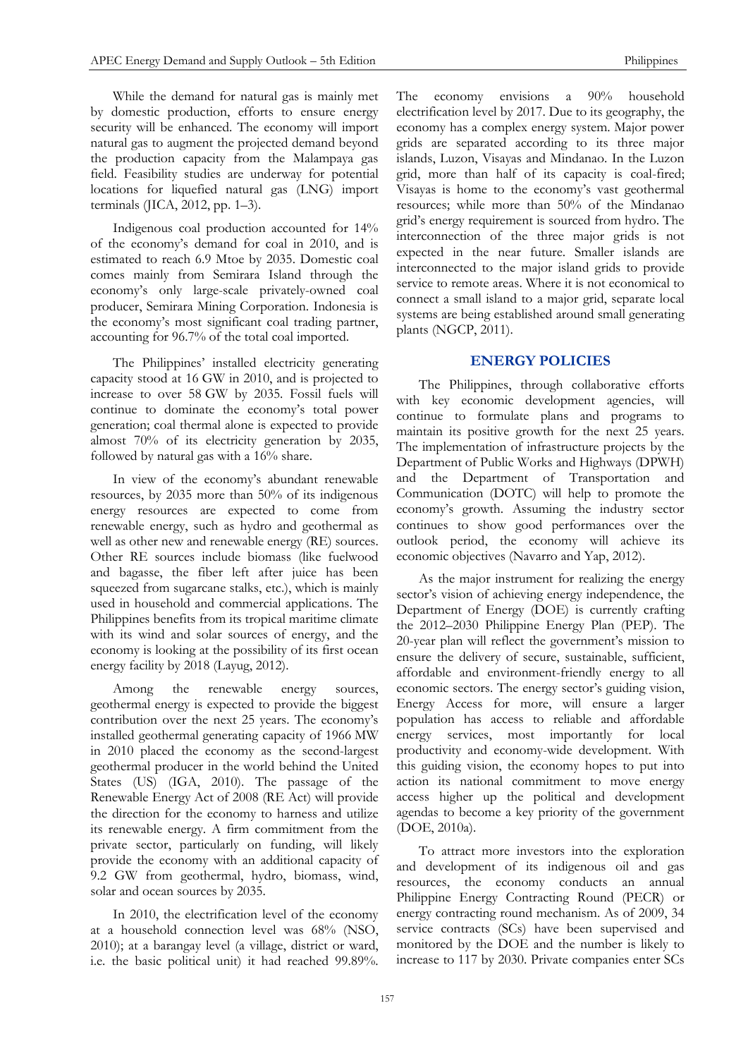While the demand for natural gas is mainly met by domestic production, efforts to ensure energy security will be enhanced. The economy will import natural gas to augment the projected demand beyond the production capacity from the Malampaya gas field. Feasibility studies are underway for potential locations for liquefied natural gas (LNG) import terminals (JICA, 2012, pp. 1–3).

Indigenous coal production accounted for 14% of the economy's demand for coal in 2010, and is estimated to reach 6.9 Mtoe by 2035. Domestic coal comes mainly from Semirara Island through the economy's only large-scale privately-owned coal producer, Semirara Mining Corporation. Indonesia is the economy's most significant coal trading partner, accounting for 96.7% of the total coal imported.

The Philippines' installed electricity generating capacity stood at 16 GW in 2010, and is projected to increase to over 58 GW by 2035. Fossil fuels will continue to dominate the economy's total power generation; coal thermal alone is expected to provide almost 70% of its electricity generation by 2035, followed by natural gas with a 16% share.

In view of the economy's abundant renewable resources, by 2035 more than 50% of its indigenous energy resources are expected to come from renewable energy, such as hydro and geothermal as well as other new and renewable energy (RE) sources. Other RE sources include biomass (like fuelwood and bagasse, the fiber left after juice has been squeezed from sugarcane stalks, etc.), which is mainly used in household and commercial applications. The Philippines benefits from its tropical maritime climate with its wind and solar sources of energy, and the economy is looking at the possibility of its first ocean energy facility by 2018 (Layug, 2012).

Among the renewable energy sources, geothermal energy is expected to provide the biggest contribution over the next 25 years. The economy's installed geothermal generating capacity of 1966 MW in 2010 placed the economy as the second-largest geothermal producer in the world behind the United States (US) (IGA, 2010). The passage of the Renewable Energy Act of 2008 (RE Act) will provide the direction for the economy to harness and utilize its renewable energy. A firm commitment from the private sector, particularly on funding, will likely provide the economy with an additional capacity of 9.2 GW from geothermal, hydro, biomass, wind, solar and ocean sources by 2035.

In 2010, the electrification level of the economy at a household connection level was 68% (NSO, 2010); at a barangay level (a village, district or ward, i.e. the basic political unit) it had reached 99.89%.

The economy envisions a 90% household electrification level by 2017. Due to its geography, the economy has a complex energy system. Major power grids are separated according to its three major islands, Luzon, Visayas and Mindanao. In the Luzon grid, more than half of its capacity is coal-fired; Visayas is home to the economy's vast geothermal resources; while more than 50% of the Mindanao grid's energy requirement is sourced from hydro. The interconnection of the three major grids is not expected in the near future. Smaller islands are interconnected to the major island grids to provide service to remote areas. Where it is not economical to connect a small island to a major grid, separate local systems are being established around small generating plants (NGCP, 2011).

# **ENERGY POLICIES**

The Philippines, through collaborative efforts with key economic development agencies, will continue to formulate plans and programs to maintain its positive growth for the next 25 years. The implementation of infrastructure projects by the Department of Public Works and Highways (DPWH) and the Department of Transportation and Communication (DOTC) will help to promote the economy's growth. Assuming the industry sector continues to show good performances over the outlook period, the economy will achieve its economic objectives (Navarro and Yap, 2012).

As the major instrument for realizing the energy sector's vision of achieving energy independence, the Department of Energy (DOE) is currently crafting the 2012–2030 Philippine Energy Plan (PEP). The 20-year plan will reflect the government's mission to ensure the delivery of secure, sustainable, sufficient, affordable and environment-friendly energy to all economic sectors. The energy sector's guiding vision, Energy Access for more, will ensure a larger population has access to reliable and affordable energy services, most importantly for local productivity and economy-wide development. With this guiding vision, the economy hopes to put into action its national commitment to move energy access higher up the political and development agendas to become a key priority of the government (DOE, 2010a).

To attract more investors into the exploration and development of its indigenous oil and gas resources, the economy conducts an annual Philippine Energy Contracting Round (PECR) or energy contracting round mechanism. As of 2009, 34 service contracts (SCs) have been supervised and monitored by the DOE and the number is likely to increase to 117 by 2030. Private companies enter SCs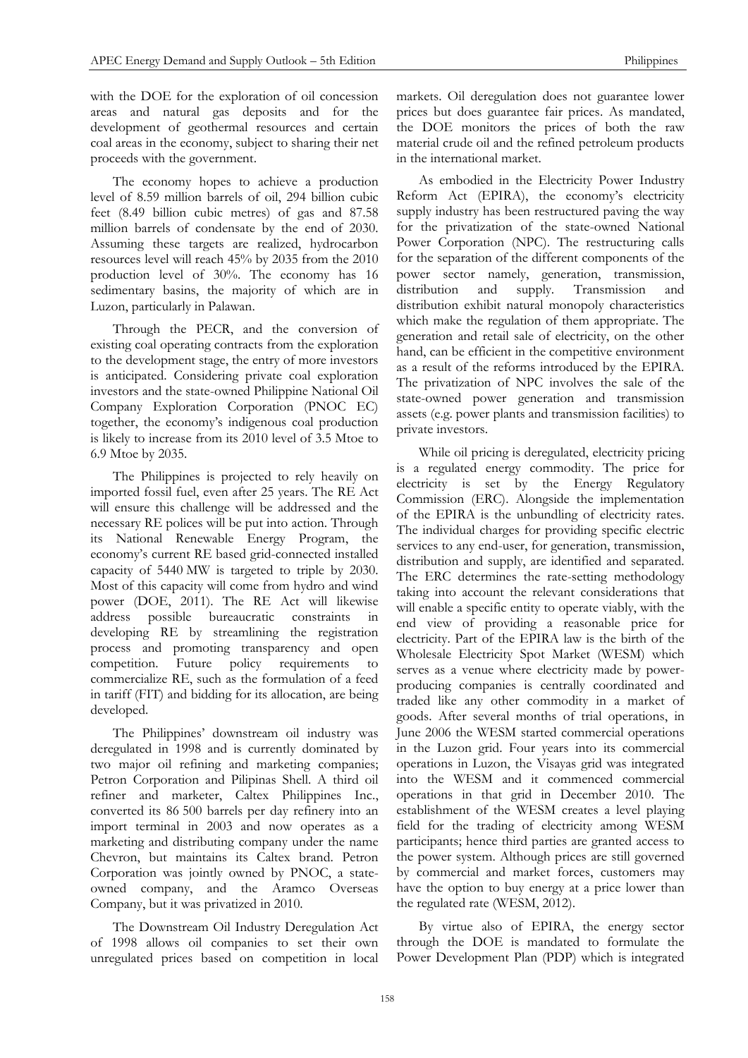with the DOE for the exploration of oil concession areas and natural gas deposits and for the development of geothermal resources and certain coal areas in the economy, subject to sharing their net proceeds with the government.

The economy hopes to achieve a production level of 8.59 million barrels of oil, 294 billion cubic feet (8.49 billion cubic metres) of gas and 87.58 million barrels of condensate by the end of 2030. Assuming these targets are realized, hydrocarbon resources level will reach 45% by 2035 from the 2010 production level of 30%. The economy has 16 sedimentary basins, the majority of which are in Luzon, particularly in Palawan.

Through the PECR, and the conversion of existing coal operating contracts from the exploration to the development stage, the entry of more investors is anticipated. Considering private coal exploration investors and the state-owned Philippine National Oil Company Exploration Corporation (PNOC EC) together, the economy's indigenous coal production is likely to increase from its 2010 level of 3.5 Mtoe to 6.9 Mtoe by 2035.

The Philippines is projected to rely heavily on imported fossil fuel, even after 25 years. The RE Act will ensure this challenge will be addressed and the necessary RE polices will be put into action. Through its National Renewable Energy Program, the economy's current RE based grid-connected installed capacity of 5440 MW is targeted to triple by 2030. Most of this capacity will come from hydro and wind power (DOE, 2011). The RE Act will likewise address possible bureaucratic constraints in developing RE by streamlining the registration process and promoting transparency and open competition. Future policy requirements commercialize RE, such as the formulation of a feed in tariff (FIT) and bidding for its allocation, are being developed.

The Philippines' downstream oil industry was deregulated in 1998 and is currently dominated by two major oil refining and marketing companies; Petron Corporation and Pilipinas Shell. A third oil refiner and marketer, Caltex Philippines Inc., converted its 86 500 barrels per day refinery into an import terminal in 2003 and now operates as a marketing and distributing company under the name Chevron, but maintains its Caltex brand. Petron Corporation was jointly owned by PNOC, a stateowned company, and the Aramco Overseas Company, but it was privatized in 2010.

The Downstream Oil Industry Deregulation Act of 1998 allows oil companies to set their own unregulated prices based on competition in local

markets. Oil deregulation does not guarantee lower prices but does guarantee fair prices. As mandated, the DOE monitors the prices of both the raw material crude oil and the refined petroleum products in the international market.

As embodied in the Electricity Power Industry Reform Act (EPIRA), the economy's electricity supply industry has been restructured paving the way for the privatization of the state-owned National Power Corporation (NPC). The restructuring calls for the separation of the different components of the power sector namely, generation, transmission, distribution and supply. Transmission and distribution exhibit natural monopoly characteristics which make the regulation of them appropriate. The generation and retail sale of electricity, on the other hand, can be efficient in the competitive environment as a result of the reforms introduced by the EPIRA. The privatization of NPC involves the sale of the state-owned power generation and transmission assets (e.g. power plants and transmission facilities) to private investors.

While oil pricing is deregulated, electricity pricing is a regulated energy commodity. The price for electricity is set by the Energy Regulatory Commission (ERC). Alongside the implementation of the EPIRA is the unbundling of electricity rates. The individual charges for providing specific electric services to any end-user, for generation, transmission, distribution and supply, are identified and separated. The ERC determines the rate-setting methodology taking into account the relevant considerations that will enable a specific entity to operate viably, with the end view of providing a reasonable price for electricity. Part of the EPIRA law is the birth of the Wholesale Electricity Spot Market (WESM) which serves as a venue where electricity made by powerproducing companies is centrally coordinated and traded like any other commodity in a market of goods. After several months of trial operations, in June 2006 the WESM started commercial operations in the Luzon grid. Four years into its commercial operations in Luzon, the Visayas grid was integrated into the WESM and it commenced commercial operations in that grid in December 2010. The establishment of the WESM creates a level playing field for the trading of electricity among WESM participants; hence third parties are granted access to the power system. Although prices are still governed by commercial and market forces, customers may have the option to buy energy at a price lower than the regulated rate (WESM, 2012).

By virtue also of EPIRA, the energy sector through the DOE is mandated to formulate the Power Development Plan (PDP) which is integrated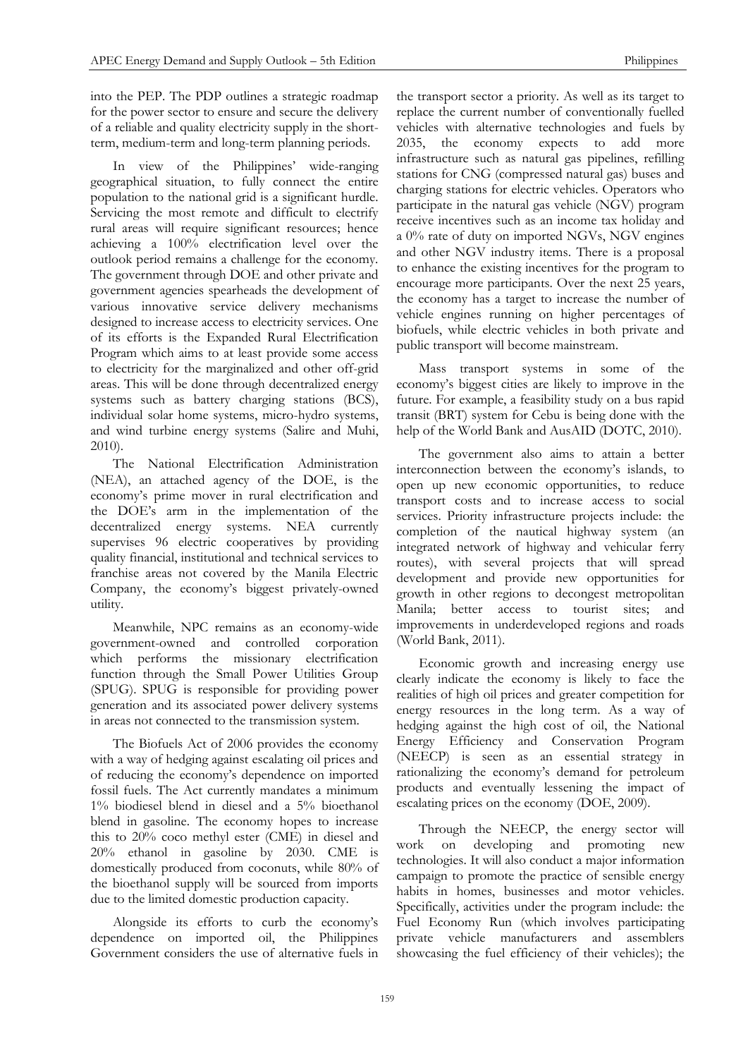into the PEP. The PDP outlines a strategic roadmap for the power sector to ensure and secure the delivery of a reliable and quality electricity supply in the shortterm, medium-term and long-term planning periods.

In view of the Philippines' wide-ranging geographical situation, to fully connect the entire population to the national grid is a significant hurdle. Servicing the most remote and difficult to electrify rural areas will require significant resources; hence achieving a 100% electrification level over the outlook period remains a challenge for the economy. The government through DOE and other private and government agencies spearheads the development of various innovative service delivery mechanisms designed to increase access to electricity services. One of its efforts is the Expanded Rural Electrification Program which aims to at least provide some access to electricity for the marginalized and other off-grid areas. This will be done through decentralized energy systems such as battery charging stations (BCS), individual solar home systems, micro-hydro systems, and wind turbine energy systems (Salire and Muhi, 2010).

The National Electrification Administration (NEA), an attached agency of the DOE, is the economy's prime mover in rural electrification and the DOE's arm in the implementation of the decentralized energy systems. NEA currently supervises 96 electric cooperatives by providing quality financial, institutional and technical services to franchise areas not covered by the Manila Electric Company, the economy's biggest privately-owned utility.

Meanwhile, NPC remains as an economy-wide government-owned and controlled corporation which performs the missionary electrification function through the Small Power Utilities Group (SPUG). SPUG is responsible for providing power generation and its associated power delivery systems in areas not connected to the transmission system.

The Biofuels Act of 2006 provides the economy with a way of hedging against escalating oil prices and of reducing the economy's dependence on imported fossil fuels. The Act currently mandates a minimum 1% biodiesel blend in diesel and a 5% bioethanol blend in gasoline. The economy hopes to increase this to 20% coco methyl ester (CME) in diesel and 20% ethanol in gasoline by 2030. CME is domestically produced from coconuts, while 80% of the bioethanol supply will be sourced from imports due to the limited domestic production capacity.

Alongside its efforts to curb the economy's dependence on imported oil, the Philippines Government considers the use of alternative fuels in

the transport sector a priority. As well as its target to replace the current number of conventionally fuelled vehicles with alternative technologies and fuels by 2035, the economy expects to add more infrastructure such as natural gas pipelines, refilling stations for CNG (compressed natural gas) buses and charging stations for electric vehicles. Operators who participate in the natural gas vehicle (NGV) program receive incentives such as an income tax holiday and a 0% rate of duty on imported NGVs, NGV engines and other NGV industry items. There is a proposal to enhance the existing incentives for the program to encourage more participants. Over the next 25 years, the economy has a target to increase the number of vehicle engines running on higher percentages of biofuels, while electric vehicles in both private and public transport will become mainstream.

Mass transport systems in some of the economy's biggest cities are likely to improve in the future. For example, a feasibility study on a bus rapid transit (BRT) system for Cebu is being done with the help of the World Bank and AusAID (DOTC, 2010).

The government also aims to attain a better interconnection between the economy's islands, to open up new economic opportunities, to reduce transport costs and to increase access to social services. Priority infrastructure projects include: the completion of the nautical highway system (an integrated network of highway and vehicular ferry routes), with several projects that will spread development and provide new opportunities for growth in other regions to decongest metropolitan Manila; better access to tourist sites; and improvements in underdeveloped regions and roads (World Bank, 2011).

Economic growth and increasing energy use clearly indicate the economy is likely to face the realities of high oil prices and greater competition for energy resources in the long term. As a way of hedging against the high cost of oil, the National Energy Efficiency and Conservation Program (NEECP) is seen as an essential strategy in rationalizing the economy's demand for petroleum products and eventually lessening the impact of escalating prices on the economy (DOE, 2009).

Through the NEECP, the energy sector will work on developing and promoting new technologies. It will also conduct a major information campaign to promote the practice of sensible energy habits in homes, businesses and motor vehicles. Specifically, activities under the program include: the Fuel Economy Run (which involves participating private vehicle manufacturers and assemblers showcasing the fuel efficiency of their vehicles); the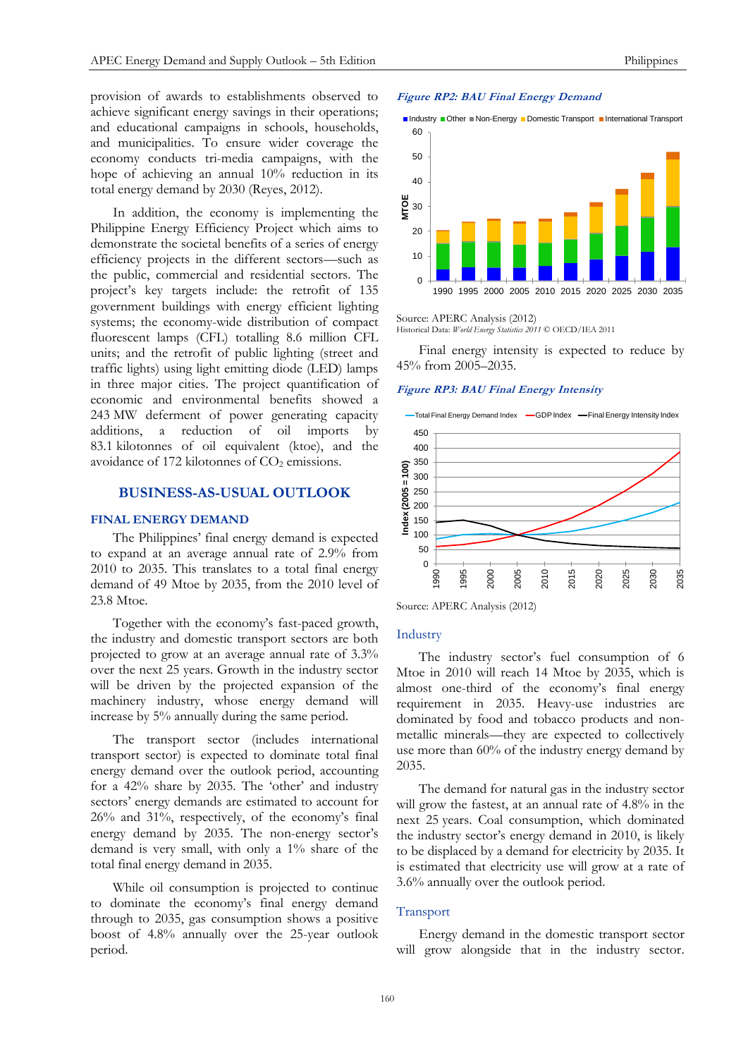provision of awards to establishments observed to achieve significant energy savings in their operations; and educational campaigns in schools, households, and municipalities. To ensure wider coverage the economy conducts tri-media campaigns, with the hope of achieving an annual 10% reduction in its total energy demand by 2030 (Reyes, 2012).

In addition, the economy is implementing the Philippine Energy Efficiency Project which aims to demonstrate the societal benefits of a series of energy efficiency projects in the different sectors—such as the public, commercial and residential sectors. The project's key targets include: the retrofit of 135 government buildings with energy efficient lighting systems; the economy-wide distribution of compact fluorescent lamps (CFL) totalling 8.6 million CFL units; and the retrofit of public lighting (street and traffic lights) using light emitting diode (LED) lamps in three major cities. The project quantification of economic and environmental benefits showed a 243 MW deferment of power generating capacity additions, a reduction of oil imports by 83.1 kilotonnes of oil equivalent (ktoe), and the avoidance of 172 kilotonnes of  $CO<sub>2</sub>$  emissions.

#### **BUSINESS-AS-USUAL OUTLOOK**

## **FINAL ENERGY DEMAND**

The Philippines' final energy demand is expected to expand at an average annual rate of 2.9% from 2010 to 2035. This translates to a total final energy demand of 49 Mtoe by 2035, from the 2010 level of 23.8 Mtoe.

Together with the economy's fast-paced growth, the industry and domestic transport sectors are both projected to grow at an average annual rate of 3.3% over the next 25 years. Growth in the industry sector will be driven by the projected expansion of the machinery industry, whose energy demand will increase by 5% annually during the same period.

The transport sector (includes international transport sector) is expected to dominate total final energy demand over the outlook period, accounting for a 42% share by 2035. The 'other' and industry sectors' energy demands are estimated to account for 26% and 31%, respectively, of the economy's final energy demand by 2035. The non-energy sector's demand is very small, with only a 1% share of the total final energy demand in 2035.

While oil consumption is projected to continue to dominate the economy's final energy demand through to 2035, gas consumption shows a positive boost of 4.8% annually over the 25-year outlook period.

#### **Figure RP2: BAU Final Energy Demand**





Source: APERC Analysis (2012)

Historical Data: *World Energy Statistics 2011* © OECD/IEA 2011

Final energy intensity is expected to reduce by 45% from 2005–2035.

#### **Figure RP3: BAU Final Energy Intensity**



Source: APERC Analysis (2012)

#### **Industry**

The industry sector's fuel consumption of 6 Mtoe in 2010 will reach 14 Mtoe by 2035, which is almost one-third of the economy's final energy requirement in 2035. Heavy-use industries are dominated by food and tobacco products and nonmetallic minerals—they are expected to collectively use more than 60% of the industry energy demand by 2035.

The demand for natural gas in the industry sector will grow the fastest, at an annual rate of 4.8% in the next 25 years. Coal consumption, which dominated the industry sector's energy demand in 2010, is likely to be displaced by a demand for electricity by 2035. It is estimated that electricity use will grow at a rate of 3.6% annually over the outlook period.

#### Transport

Energy demand in the domestic transport sector will grow alongside that in the industry sector.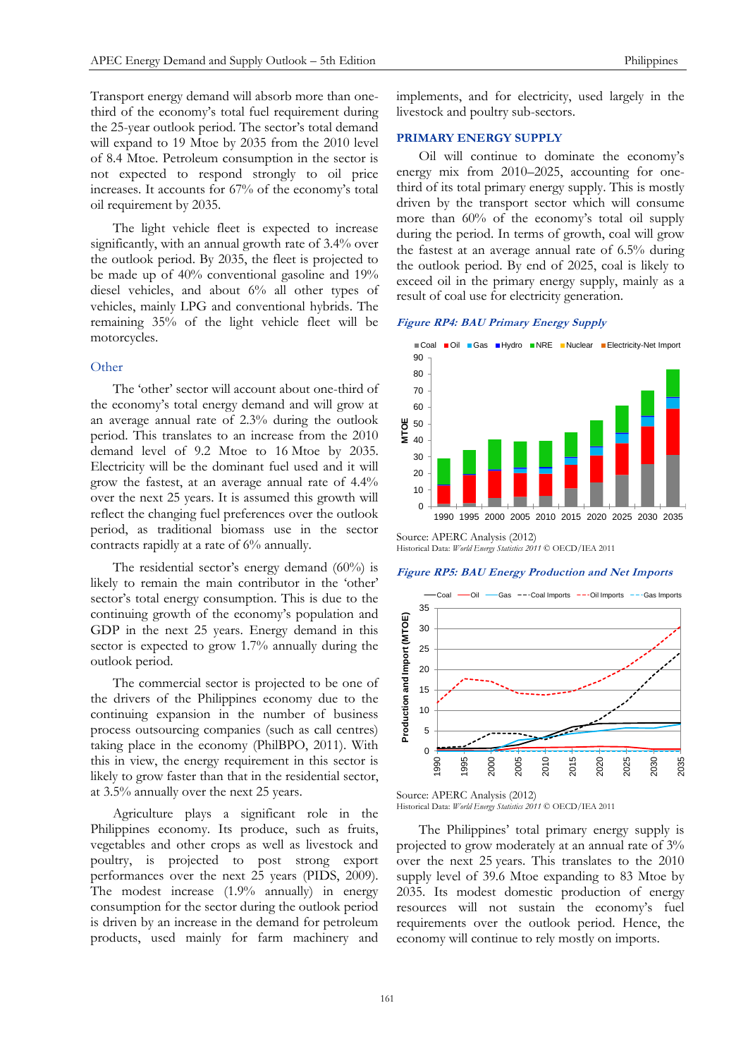Transport energy demand will absorb more than onethird of the economy's total fuel requirement during the 25-year outlook period. The sector's total demand will expand to 19 Mtoe by 2035 from the 2010 level of 8.4 Mtoe. Petroleum consumption in the sector is not expected to respond strongly to oil price increases. It accounts for 67% of the economy's total oil requirement by 2035.

The light vehicle fleet is expected to increase significantly, with an annual growth rate of 3.4% over the outlook period. By 2035, the fleet is projected to be made up of 40% conventional gasoline and 19% diesel vehicles, and about 6% all other types of vehicles, mainly LPG and conventional hybrids. The remaining 35% of the light vehicle fleet will be motorcycles.

## **Other**

The 'other' sector will account about one-third of the economy's total energy demand and will grow at an average annual rate of 2.3% during the outlook period. This translates to an increase from the 2010 demand level of 9.2 Mtoe to 16 Mtoe by 2035. Electricity will be the dominant fuel used and it will grow the fastest, at an average annual rate of 4.4% over the next 25 years. It is assumed this growth will reflect the changing fuel preferences over the outlook period, as traditional biomass use in the sector contracts rapidly at a rate of 6% annually.

The residential sector's energy demand (60%) is likely to remain the main contributor in the 'other' sector's total energy consumption. This is due to the continuing growth of the economy's population and GDP in the next 25 years. Energy demand in this sector is expected to grow 1.7% annually during the outlook period.

The commercial sector is projected to be one of the drivers of the Philippines economy due to the continuing expansion in the number of business process outsourcing companies (such as call centres) taking place in the economy (PhilBPO, 2011). With this in view, the energy requirement in this sector is likely to grow faster than that in the residential sector, at 3.5% annually over the next 25 years.

Agriculture plays a significant role in the Philippines economy. Its produce, such as fruits, vegetables and other crops as well as livestock and poultry, is projected to post strong export performances over the next 25 years (PIDS, 2009). The modest increase (1.9% annually) in energy consumption for the sector during the outlook period is driven by an increase in the demand for petroleum products, used mainly for farm machinery and

implements, and for electricity, used largely in the livestock and poultry sub-sectors.

#### **PRIMARY ENERGY SUPPLY**

Oil will continue to dominate the economy's energy mix from 2010–2025, accounting for onethird of its total primary energy supply. This is mostly driven by the transport sector which will consume more than 60% of the economy's total oil supply during the period. In terms of growth, coal will grow the fastest at an average annual rate of 6.5% during the outlook period. By end of 2025, coal is likely to exceed oil in the primary energy supply, mainly as a result of coal use for electricity generation.

**Figure RP4: BAU Primary Energy Supply**



Historical Data: *World Energy Statistics 2011* © OECD/IEA 2011

#### **Figure RP5: BAU Energy Production and Net Imports**



Source: APERC Analysis (2012) Historical Data: *World Energy Statistics 2011* © OECD/IEA 2011

The Philippines' total primary energy supply is projected to grow moderately at an annual rate of 3% over the next 25 years. This translates to the 2010 supply level of 39.6 Mtoe expanding to 83 Mtoe by 2035. Its modest domestic production of energy resources will not sustain the economy's fuel requirements over the outlook period. Hence, the economy will continue to rely mostly on imports.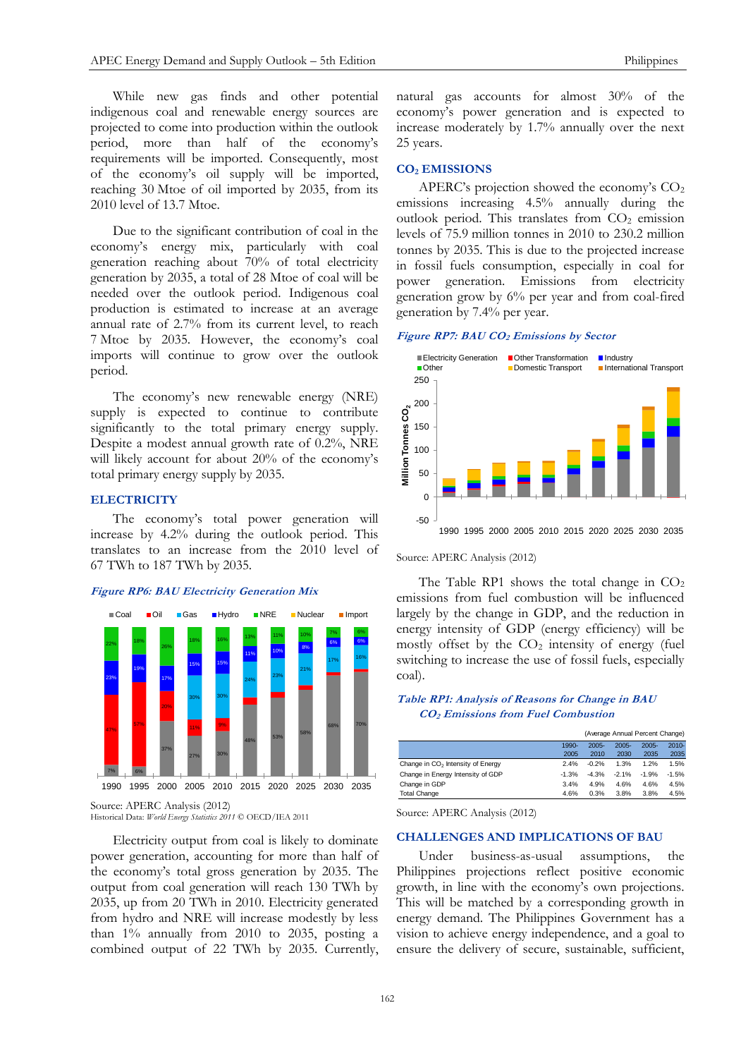While new gas finds and other potential indigenous coal and renewable energy sources are projected to come into production within the outlook period, more than half of the economy's requirements will be imported. Consequently, most of the economy's oil supply will be imported, reaching 30 Mtoe of oil imported by 2035, from its 2010 level of 13.7 Mtoe.

Due to the significant contribution of coal in the economy's energy mix, particularly with coal generation reaching about 70% of total electricity generation by 2035, a total of 28 Mtoe of coal will be needed over the outlook period. Indigenous coal production is estimated to increase at an average annual rate of 2.7% from its current level, to reach 7 Mtoe by 2035. However, the economy's coal imports will continue to grow over the outlook period.

The economy's new renewable energy (NRE) supply is expected to continue to contribute significantly to the total primary energy supply. Despite a modest annual growth rate of 0.2%, NRE will likely account for about 20% of the economy's total primary energy supply by 2035.

## **ELECTRICITY**

The economy's total power generation will increase by 4.2% during the outlook period. This translates to an increase from the 2010 level of 67 TWh to 187 TWh by 2035.

#### **Figure RP6: BAU Electricity Generation Mix**



Source: APERC Analysis (2012) Historical Data: *World Energy Statistics 2011* © OECD/IEA 2011

Electricity output from coal is likely to dominate power generation, accounting for more than half of the economy's total gross generation by 2035. The output from coal generation will reach 130 TWh by 2035, up from 20 TWh in 2010. Electricity generated from hydro and NRE will increase modestly by less than 1% annually from 2010 to 2035, posting a combined output of 22 TWh by 2035. Currently, natural gas accounts for almost 30% of the economy's power generation and is expected to increase moderately by 1.7% annually over the next 25 years.

#### **CO<sup>2</sup> EMISSIONS**

APERC's projection showed the economy's CO<sup>2</sup> emissions increasing 4.5% annually during the outlook period. This translates from  $CO<sub>2</sub>$  emission levels of 75.9 million tonnes in 2010 to 230.2 million tonnes by 2035. This is due to the projected increase in fossil fuels consumption, especially in coal for power generation. Emissions from electricity generation grow by 6% per year and from coal-fired generation by 7.4% per year.

#### **Figure RP7: BAU CO<sup>2</sup> Emissions by Sector**



#### Source: APERC Analysis (2012)

The Table RP1 shows the total change in  $CO<sub>2</sub>$ emissions from fuel combustion will be influenced largely by the change in GDP, and the reduction in energy intensity of GDP (energy efficiency) will be mostly offset by the  $CO<sub>2</sub>$  intensity of energy (fuel switching to increase the use of fossil fuels, especially coal).

## **Table RP1: Analysis of Reasons for Change in BAU CO2 Emissions from Fuel Combustion**

|                                               |         | (Average Annual Percent Change) |          |          |          |
|-----------------------------------------------|---------|---------------------------------|----------|----------|----------|
|                                               | 1990-   | $2005 -$                        | $2005 -$ | $2005 -$ | $2010 -$ |
|                                               | 2005    | 2010                            | 2030     | 2035     | 2035     |
| Change in CO <sub>2</sub> Intensity of Energy | 2.4%    | $-0.2%$                         | 1.3%     | 1.2%     | 1.5%     |
| Change in Energy Intensity of GDP             | $-1.3%$ | $-4.3%$                         | $-2.1%$  | $-1.9%$  | $-1.5%$  |
| Change in GDP                                 | 3.4%    | 4.9%                            | 4.6%     | 4.6%     | 4.5%     |
| <b>Total Change</b>                           | 4.6%    | 0.3%                            | 3.8%     | 3.8%     | 4.5%     |

Source: APERC Analysis (2012)

## **CHALLENGES AND IMPLICATIONS OF BAU**

Under business-as-usual assumptions, the Philippines projections reflect positive economic growth, in line with the economy's own projections. This will be matched by a corresponding growth in energy demand. The Philippines Government has a vision to achieve energy independence, and a goal to ensure the delivery of secure, sustainable, sufficient,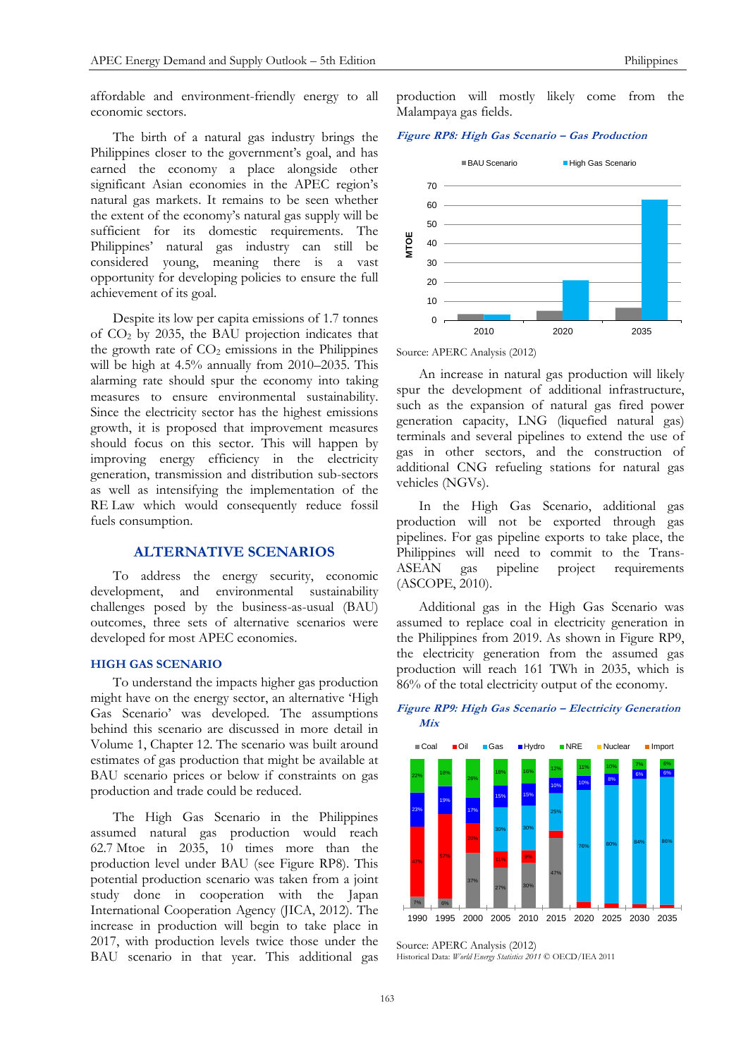affordable and environment-friendly energy to all economic sectors.

The birth of a natural gas industry brings the Philippines closer to the government's goal, and has earned the economy a place alongside other significant Asian economies in the APEC region's natural gas markets. It remains to be seen whether the extent of the economy's natural gas supply will be sufficient for its domestic requirements. The Philippines' natural gas industry can still be considered young, meaning there is a vast opportunity for developing policies to ensure the full achievement of its goal.

Despite its low per capita emissions of 1.7 tonnes of CO<sup>2</sup> by 2035, the BAU projection indicates that the growth rate of  $CO<sub>2</sub>$  emissions in the Philippines will be high at 4.5% annually from 2010–2035. This alarming rate should spur the economy into taking measures to ensure environmental sustainability. Since the electricity sector has the highest emissions growth, it is proposed that improvement measures should focus on this sector. This will happen by improving energy efficiency in the electricity generation, transmission and distribution sub-sectors as well as intensifying the implementation of the RE Law which would consequently reduce fossil fuels consumption.

# **ALTERNATIVE SCENARIOS**

To address the energy security, economic development, and environmental sustainability challenges posed by the business-as-usual (BAU) outcomes, three sets of alternative scenarios were developed for most APEC economies.

#### **HIGH GAS SCENARIO**

To understand the impacts higher gas production might have on the energy sector, an alternative 'High Gas Scenario' was developed. The assumptions behind this scenario are discussed in more detail in Volume 1, Chapter 12. The scenario was built around estimates of gas production that might be available at BAU scenario prices or below if constraints on gas production and trade could be reduced.

The High Gas Scenario in the Philippines assumed natural gas production would reach 62.7 Mtoe in 2035, 10 times more than the production level under BAU (see Figure RP8). This potential production scenario was taken from a joint study done in cooperation with the Japan International Cooperation Agency (JICA, 2012). The increase in production will begin to take place in 2017, with production levels twice those under the BAU scenario in that year. This additional gas

production will mostly likely come from the Malampaya gas fields.

**Figure RP8: High Gas Scenario – Gas Production**



Source: APERC Analysis (2012)

An increase in natural gas production will likely spur the development of additional infrastructure, such as the expansion of natural gas fired power generation capacity, LNG (liquefied natural gas) terminals and several pipelines to extend the use of gas in other sectors, and the construction of additional CNG refueling stations for natural gas vehicles (NGVs).

In the High Gas Scenario, additional gas production will not be exported through gas pipelines. For gas pipeline exports to take place, the Philippines will need to commit to the Trans-<br>ASEAN gas pipeline project requirements ASEAN gas pipeline project requirements (ASCOPE, 2010).

Additional gas in the High Gas Scenario was assumed to replace coal in electricity generation in the Philippines from 2019. As shown in Figure RP9, the electricity generation from the assumed gas production will reach 161 TWh in 2035, which is 86% of the total electricity output of the economy.

#### **Figure RP9: High Gas Scenario – Electricity Generation Mix**



Source: APERC Analysis (2012) Historical Data: *World Energy Statistics 2011* © OECD/IEA 2011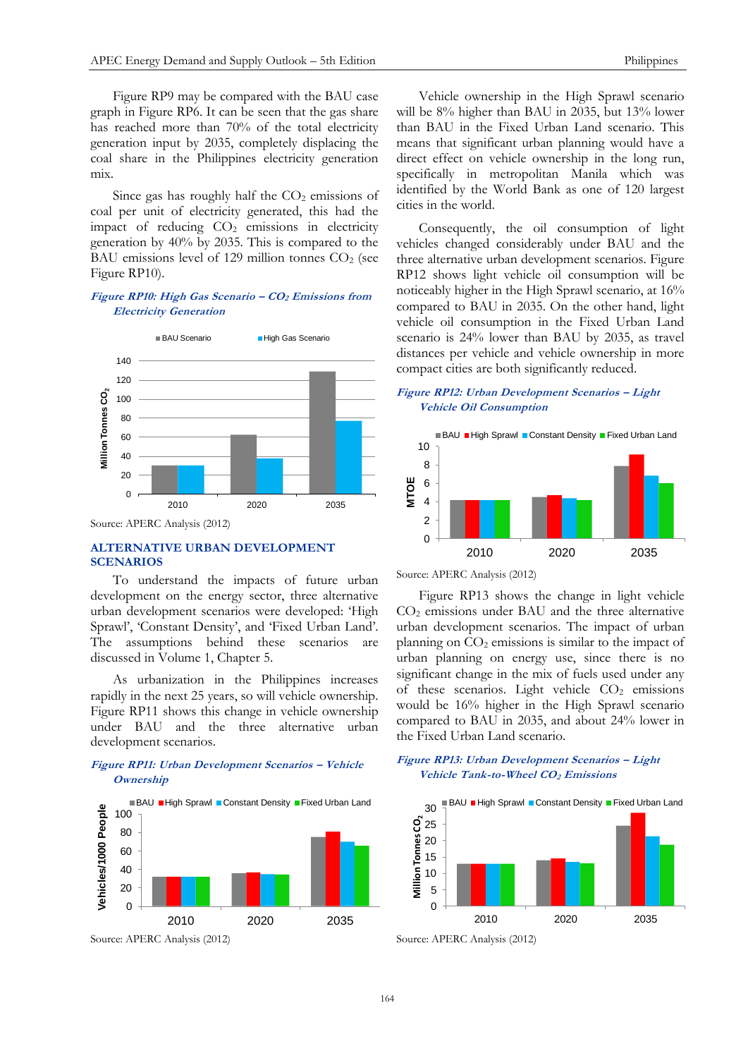Figure RP9 may be compared with the BAU case graph in Figure RP6. It can be seen that the gas share has reached more than 70% of the total electricity generation input by 2035, completely displacing the coal share in the Philippines electricity generation mix.

Since gas has roughly half the  $CO<sub>2</sub>$  emissions of coal per unit of electricity generated, this had the impact of reducing  $CO<sub>2</sub>$  emissions in electricity generation by 40% by 2035. This is compared to the BAU emissions level of 129 million tonnes  $CO<sub>2</sub>$  (see Figure RP10).

## **Figure RP10: High Gas Scenario – CO<sup>2</sup> Emissions from Electricity Generation**



Source: APERC Analysis (2012)

# **ALTERNATIVE URBAN DEVELOPMENT SCENARIOS**

To understand the impacts of future urban development on the energy sector, three alternative urban development scenarios were developed: 'High Sprawl', 'Constant Density', and 'Fixed Urban Land'. The assumptions behind these scenarios are discussed in Volume 1, Chapter 5.

As urbanization in the Philippines increases rapidly in the next 25 years, so will vehicle ownership. Figure RP11 shows this change in vehicle ownership under BAU and the three alternative urban development scenarios.

# **Figure RP11: Urban Development Scenarios – Vehicle Ownership**



Vehicle ownership in the High Sprawl scenario will be 8% higher than BAU in 2035, but 13% lower than BAU in the Fixed Urban Land scenario. This means that significant urban planning would have a direct effect on vehicle ownership in the long run, specifically in metropolitan Manila which was identified by the World Bank as one of 120 largest cities in the world.

Consequently, the oil consumption of light vehicles changed considerably under BAU and the three alternative urban development scenarios. Figure RP12 shows light vehicle oil consumption will be noticeably higher in the High Sprawl scenario, at 16% compared to BAU in 2035. On the other hand, light vehicle oil consumption in the Fixed Urban Land scenario is 24% lower than BAU by 2035, as travel distances per vehicle and vehicle ownership in more compact cities are both significantly reduced.

## **Figure RP12: Urban Development Scenarios – Light Vehicle Oil Consumption**



Source: APERC Analysis (2012)

Figure RP13 shows the change in light vehicle  $CO<sub>2</sub>$  emissions under BAU and the three alternative urban development scenarios. The impact of urban planning on  $CO<sub>2</sub>$  emissions is similar to the impact of urban planning on energy use, since there is no significant change in the mix of fuels used under any of these scenarios. Light vehicle  $CO<sub>2</sub>$  emissions would be 16% higher in the High Sprawl scenario compared to BAU in 2035, and about 24% lower in the Fixed Urban Land scenario.

#### **Figure RP13: Urban Development Scenarios – Light Vehicle Tank-to-Wheel CO2 Emissions**



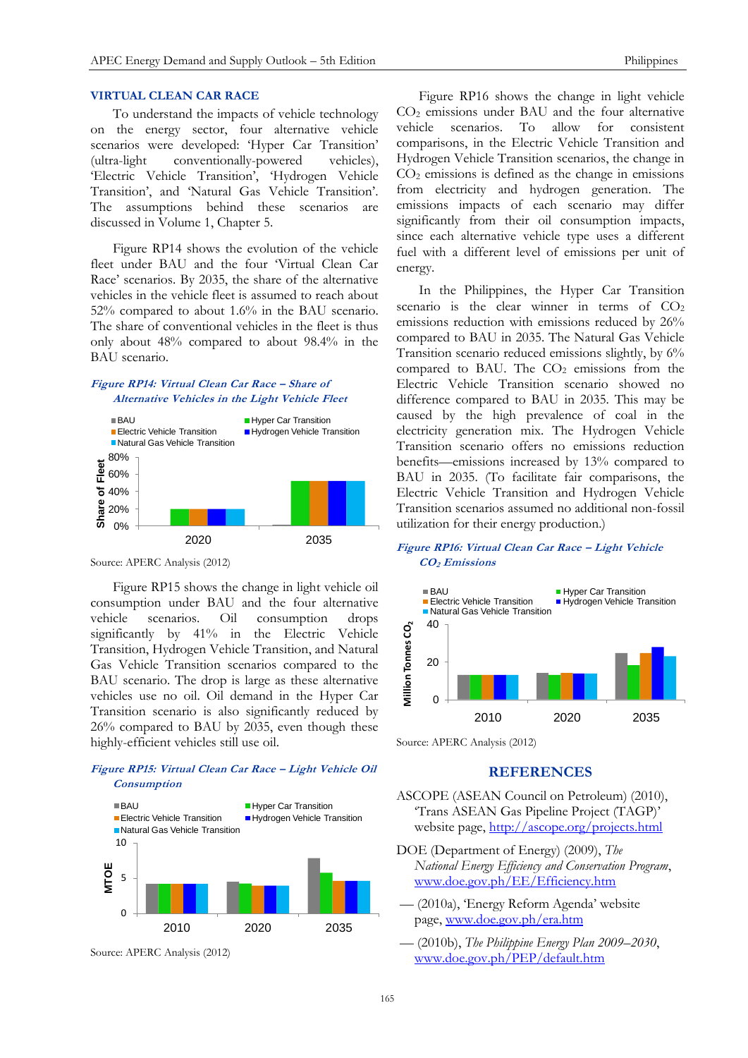## **VIRTUAL CLEAN CAR RACE**

To understand the impacts of vehicle technology on the energy sector, four alternative vehicle scenarios were developed: 'Hyper Car Transition' (ultra-light conventionally-powered vehicles), 'Electric Vehicle Transition', 'Hydrogen Vehicle Transition', and 'Natural Gas Vehicle Transition'. The assumptions behind these scenarios are discussed in Volume 1, Chapter 5.

Figure RP14 shows the evolution of the vehicle fleet under BAU and the four 'Virtual Clean Car Race' scenarios. By 2035, the share of the alternative vehicles in the vehicle fleet is assumed to reach about 52% compared to about 1.6% in the BAU scenario. The share of conventional vehicles in the fleet is thus only about 48% compared to about 98.4% in the BAU scenario.

## **Figure RP14: Virtual Clean Car Race – Share of Alternative Vehicles in the Light Vehicle Fleet**



Source: APERC Analysis (2012)

Figure RP15 shows the change in light vehicle oil consumption under BAU and the four alternative vehicle scenarios. Oil consumption drops significantly by 41% in the Electric Vehicle Transition, Hydrogen Vehicle Transition, and Natural Gas Vehicle Transition scenarios compared to the BAU scenario. The drop is large as these alternative vehicles use no oil. Oil demand in the Hyper Car Transition scenario is also significantly reduced by 26% compared to BAU by 2035, even though these highly-efficient vehicles still use oil.

## **Figure RP15: Virtual Clean Car Race – Light Vehicle Oil Consumption**



Source: APERC Analysis (2012)

Figure RP16 shows the change in light vehicle CO<sup>2</sup> emissions under BAU and the four alternative vehicle scenarios. To allow for consistent comparisons, in the Electric Vehicle Transition and Hydrogen Vehicle Transition scenarios, the change in  $CO<sub>2</sub>$  emissions is defined as the change in emissions from electricity and hydrogen generation. The emissions impacts of each scenario may differ significantly from their oil consumption impacts, since each alternative vehicle type uses a different fuel with a different level of emissions per unit of energy.

In the Philippines, the Hyper Car Transition scenario is the clear winner in terms of  $CO<sub>2</sub>$ emissions reduction with emissions reduced by 26% compared to BAU in 2035. The Natural Gas Vehicle Transition scenario reduced emissions slightly, by 6% compared to BAU. The  $CO<sub>2</sub>$  emissions from the Electric Vehicle Transition scenario showed no difference compared to BAU in 2035. This may be caused by the high prevalence of coal in the electricity generation mix. The Hydrogen Vehicle Transition scenario offers no emissions reduction benefits—emissions increased by 13% compared to BAU in 2035. (To facilitate fair comparisons, the Electric Vehicle Transition and Hydrogen Vehicle Transition scenarios assumed no additional non-fossil utilization for their energy production.)

## **Figure RP16: Virtual Clean Car Race – Light Vehicle CO2 Emissions**



Source: APERC Analysis (2012)

# **REFERENCES**

- ASCOPE (ASEAN Council on Petroleum) (2010), 'Trans ASEAN Gas Pipeline Project (TAGP)' website page,<http://ascope.org/projects.html>
- DOE (Department of Energy) (2009), *The National Energy Efficiency and Conservation Program*, [www.doe.gov.ph/EE/Efficiency.htm](http://www.doe.gov.ph/EE/Efficiency.htm)
- –– (2010a), 'Energy Reform Agenda' website page, [www.doe.gov.ph/era.htm](http://www.doe.gov.ph/era.htm)
- –– (2010b), *The Philippine Energy Plan 2009–2030*, [www.doe.gov.ph/PEP/default.htm](http://www.doe.gov.ph/PEP/default.htm)